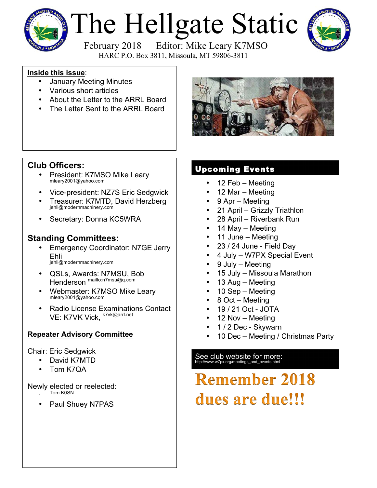

# The Hellgate Static



February 2018 Editor: Mike Leary K7MSO HARC P.O. Box 3811, Missoula, MT 59806-3811

### **Inside this issue**:

- January Meeting Minutes
- Various short articles
- About the Letter to the ARRL Board
- The Letter Sent to the ARRL Board



### **Club Officers:**

- President: K7MSO Mike Leary mleary2001@yahoo.com
- Vice-president: NZ7S Eric Sedgwick
- Treasurer: K7MTD, David Herzberg jehli@modernmachinery.com
- Secretary: Donna KC5WRA

### **Standing Committees:**

- Emergency Coordinator: N7GE Jerry Ehli jehli@modernmachinery.com
- QSLs, Awards: N7MSU, Bob Henderson mailto:n7msu@q.com
- Webmaster: K7MSO Mike Leary mleary2001@yahoo.com
- Radio License Examinations Contact VE: K7VK Vick, k7vk@arrl.net

### **Repeater Advisory Committee**

### Chair: Eric Sedgwick

- David K7MTD
- Tom K7QA

### Newly elected or reelected:

- Tom K0SN
- Paul Shuey N7PAS

### Upcoming Events

- 12 Feb Meeting
- 12 Mar Meeting
- 9 Apr Meeting
- 21 April Grizzly Triathlon
- 28 April Riverbank Run
- 14 May Meeting
- 11 June Meeting
- 23 / 24 June Field Day
- 4 July W7PX Special Event
- 9 July Meeting
- 15 July Missoula Marathon
- 13 Aug Meeting
- 10 Sep Meeting
- 8 Oct Meeting
- 19 / 21 Oct JOTA
- 12 Nov Meeting
- 1 / 2 Dec Skywarn
- 10 Dec Meeting / Christmas Party

### See club website for more:<br>http://www.w7px.org/meetings\_and\_events.html

## **Remember 2018** dues are due!!!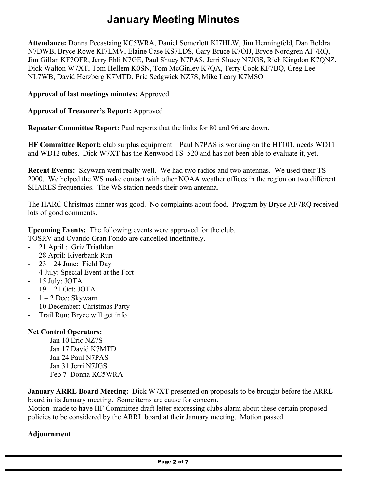### **January Meeting Minutes**

**Attendance:** Donna Pecastaing KC5WRA, Daniel Somerlott KI7HLW, Jim Henningfeld, Dan Boldra N7DWB, Bryce Rowe KI7LMV, Elaine Case KS7LDS, Gary Bruce K7OIJ, Bryce Nordgren AF7RQ, Jim Gillan KF7OFR, Jerry Ehli N7GE, Paul Shuey N7PAS, Jerri Shuey N7JGS, Rich Kingdon K7QNZ, Dick Walton W7XT, Tom Hellem K0SN, Tom McGinley K7QA, Terry Cook KF7BQ, Greg Lee NL7WB, David Herzberg K7MTD, Eric Sedgwick NZ7S, Mike Leary K7MSO

**Approval of last meetings minutes:** Approved

**Approval of Treasurer's Report:** Approved

**Repeater Committee Report:** Paul reports that the links for 80 and 96 are down.

**HF Committee Report:** club surplus equipment – Paul N7PAS is working on the HT101, needs WD11 and WD12 tubes. Dick W7XT has the Kenwood TS 520 and has not been able to evaluate it, yet.

**Recent Events:** Skywarn went really well. We had two radios and two antennas. We used their TS-2000. We helped the WS make contact with other NOAA weather offices in the region on two different SHARES frequencies. The WS station needs their own antenna.

The HARC Christmas dinner was good. No complaints about food. Program by Bryce AF7RQ received lots of good comments.

**Upcoming Events:** The following events were approved for the club.

TOSRV and Ovando Gran Fondo are cancelled indefinitely.

- 21 April : Griz Triathlon
- 28 April: Riverbank Run
- $23 24$  June: Field Day
- 4 July: Special Event at the Fort
- 15 July: JOTA
- $-19-21$  Oct: JOTA
- $1 2$  Dec: Skywarn
- 10 December: Christmas Party
- Trail Run: Bryce will get info

### **Net Control Operators:**

Jan 10 Eric NZ7S Jan 17 David K7MTD Jan 24 Paul N7PAS Jan 31 Jerri N7JGS Feb 7 Donna KC5WRA

**January ARRL Board Meeting:** Dick W7XT presented on proposals to be brought before the ARRL board in its January meeting. Some items are cause for concern.

Motion made to have HF Committee draft letter expressing clubs alarm about these certain proposed policies to be considered by the ARRL board at their January meeting. Motion passed.

### **Adjournment**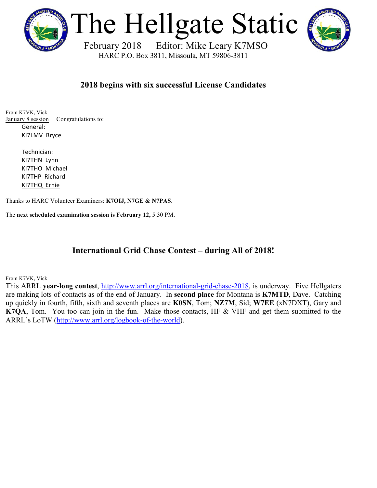

The Hellgate Static

 February 2018 Editor: Mike Leary K7MSO HARC P.O. Box 3811, Missoula, MT 59806-3811

### **2018 begins with six successful License Candidates**

From K7VK, Vick January 8 session Congratulations to: General: KI7LMV Bryce

> Technician: KI7THN Lynn KI7THO Michael KI7THP Richard KI7THQ Ernie

Thanks to HARC Volunteer Examiners: **K7OIJ, N7GE & N7PAS**.

The **next scheduled examination session is February 12,** 5:30 PM.

### **International Grid Chase Contest – during All of 2018!**

From K7VK, Vick

This ARRL **year-long contest**, http://www.arrl.org/international-grid-chase-2018, is underway. Five Hellgaters are making lots of contacts as of the end of January. In **second place** for Montana is **K7MTD**, Dave. Catching up quickly in fourth, fifth, sixth and seventh places are **K0SN**, Tom; **NZ7M**, Sid; **W7EE** (xN7DXT), Gary and **K7QA**, Tom. You too can join in the fun. Make those contacts, HF & VHF and get them submitted to the ARRL's LoTW (http://www.arrl.org/logbook-of-the-world).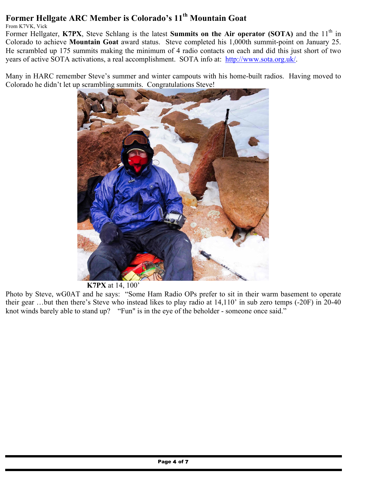### **Former Hellgate ARC Member is Colorado's 11th Mountain Goat**

From K7VK, Vick

Former Hellgater, K7PX, Steve Schlang is the latest **Summits on the Air operator** (SOTA) and the 11<sup>th</sup> in Colorado to achieve **Mountain Goat** award status. Steve completed his 1,000th summit-point on January 25. He scrambled up 175 summits making the minimum of 4 radio contacts on each and did this just short of two years of active SOTA activations, a real accomplishment. SOTA info at: http://www.sota.org.uk/.

Many in HARC remember Steve's summer and winter campouts with his home-built radios. Having moved to Colorado he didn't let up scrambling summits. Congratulations Steve!



 **K7PX** at 14, 100'

Photo by Steve, wG0AT and he says: "Some Ham Radio OPs prefer to sit in their warm basement to operate their gear …but then there's Steve who instead likes to play radio at 14,110' in sub zero temps (-20F) in 20-40 knot winds barely able to stand up? "Fun" is in the eye of the beholder - someone once said."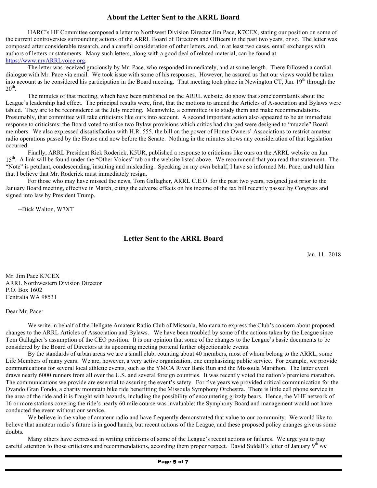### **About the Letter Sent to the ARRL Board**

HARC's HF Committee composed a letter to Northwest Division Director Jim Pace, K7CEX, stating our position on some of the current controversies surrounding actions of the ARRL Board of Directors and Officers in the past two years, or so. The letter was composed after considerable research, and a careful consideration of other letters, and, in at least two cases, email exchanges with authors of letters or statements. Many such letters, along with a good deal of related material, can be found at https://www.myARRLvoice.org.

The letter was received graciously by Mr. Pace, who responded immediately, and at some length. There followed a cordial dialogue with Mr. Pace via email. We took issue with some of his responses. However, he assured us that our views would be taken into account as he considered his participation in the Board meeting. That meeting took place in Newington CT, Jan.  $19<sup>th</sup>$  through the  $20<sup>th</sup>$ .

The minutes of that meeting, which have been published on the ARRL website, do show that some complaints about the League's leadership had effect. The principal results were, first, that the motions to amend the Articles of Association and Bylaws were tabled. They are to be reconsidered at the July meeting. Meanwhile, a committee is to study them and make recommendations. Presumably, that committee will take criticisms like ours into account. A second important action also appeared to be an immediate response to criticisms: the Board voted to strike two Bylaw provisions which critics had charged were designed to "muzzle" Board members. We also expressed dissatisfaction with H.R. 555, the bill on the power of Home Owners' Associations to restrict amateur radio operations passed by the House and now before the Senate. Nothing in the minutes shows any consideration of that legislation occurred.

Finally, ARRL President Rick Roderick, K5UR, published a response to criticisms like ours on the ARRL website on Jan. 15<sup>th</sup>. A link will be found under the "Other Voices" tab on the website listed above. We recommend that you read that statement. The "Note" is petulant, condescending, insulting and misleading. Speaking on my own behalf, I have so informed Mr. Pace, and told him that I believe that Mr. Roderick must immediately resign.

For those who may have missed the news, Tom Gallagher, ARRL C.E.O. for the past two years, resigned just prior to the January Board meeting, effective in March, citing the adverse effects on his income of the tax bill recently passed by Congress and signed into law by President Trump.

--Dick Walton, W7XT

#### **Letter Sent to the ARRL Board**

Jan. 11, 2018

Mr. Jim Pace K7CEX ARRL Northwestern Division Director P.O. Box 1602 Centralia WA 98531

#### Dear Mr. Pace:

We write in behalf of the Hellgate Amateur Radio Club of Missoula, Montana to express the Club's concern about proposed changes to the ARRL Articles of Association and Bylaws. We have been troubled by some of the actions taken by the League since Tom Gallagher's assumption of the CEO position. It is our opinion that some of the changes to the League's basic documents to be considered by the Board of Directors at its upcoming meeting portend further objectionable events.

By the standards of urban areas we are a small club, counting about 40 members, most of whom belong to the ARRL, some Life Members of many years. We are, however, a very active organization, one emphasizing public service. For example, we provide communications for several local athletic events, such as the YMCA River Bank Run and the Missoula Marathon. The latter event draws nearly 6000 runners from all over the U.S. and several foreign countries. It was recently voted the nation's premiere marathon. The communications we provide are essential to assuring the event's safety. For five years we provided critical communication for the Ovando Gran Fondo, a charity mountain bike ride benefitting the Missoula Symphony Orchestra. There is little cell phone service in the area of the ride and it is fraught with hazards, including the possibility of encountering grizzly bears. Hence, the VHF network of 16 or more stations covering the ride's nearly 60 mile course was invaluable: the Symphony Board and management would not have conducted the event without our service.

We believe in the value of amateur radio and have frequently demonstrated that value to our community. We would like to believe that amateur radio's future is in good hands, but recent actions of the League, and these proposed policy changes give us some doubts.

Many others have expressed in writing criticisms of some of the League's recent actions or failures. We urge you to pay careful attention to those criticisms and recommendations, according them proper respect. David Siddall's letter of January  $9<sup>th</sup>$  we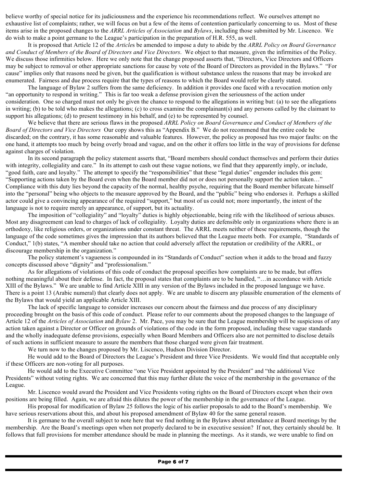believe worthy of special notice for its judiciousness and the experience his recommendations reflect. We ourselves attempt no exhaustive list of complaints; rather, we will focus on but a few of the items of contention particularly concerning to us. Most of these items arise in the proposed changes to the *ARRL Articles of Association* and *Bylaws*, including those submitted by Mr. Liscenco. We do wish to make a point germane to the League's participation in the preparation of H.R. 555, as well.

It is proposed that Article 12 of the *Article*s be amended to impose a duty to abide by the *ARRL Policy on Board Governance and Conduct of Members of the Board of Directors and Vice Directors*. We object to that measure, given the infirmities of the Policy. We discuss those infirmities below. Here we only note that the change proposed asserts that, "Directors, Vice Directors and Officers may be subject to removal or other appropriate sanctions for cause by vote of the Board of Directors as provided in the Bylaws." "For cause" implies only that reasons need be given, but the qualification is without substance unless the reasons that may be invoked are enumerated. Fairness and due process require that the types of reasons to which the Board would refer be clearly stated.

The language of Bylaw 2 suffers from the same deficiency. In addition it provides one faced with a revocation motion only "an opportunity to respond in writing." This is far too weak a defense provision given the seriousness of the action under consideration. One so charged must not only be given the chance to respond to the allegations in writing but: (a) to see the allegations in writing; (b) to be told who makes the allegations; (c) to cross examine the complainant(s) and any persons called by the claimant to support his allegations; (d) to present testimony in his behalf, and (e) to be represented by counsel.

We believe that there are serious flaws in the proposed *ARRL Policy on Board Governance and Conduct of Members of the Board of Directors and Vice Directors* Our copy shows this as "Appendix B." We do not recommend that the entire code be discarded; on the contrary, it has some reasonable and valuable features. However, the policy as proposed has two major faults: on the one hand, it attempts too much by being overly broad and vague, and on the other it offers too little in the way of provisions for defense against charges of violation.

In its second paragraph the policy statement asserts that, "Board members should conduct themselves and perform their duties with integrity, collegiality and care." In its attempt to cash out these vague notions, we find that they apparently imply, or include, "good faith, care and loyalty." The attempt to specify the "responsibilities" that these "legal duties" engender includes this gem: "Supporting actions taken by the Board even when the Board member did not or does not personally support the action taken…" Compliance with this duty lies beyond the capacity of the normal, healthy psyche, requiring that the Board member bifurcate himself into the "personal" being who objects to the measure approved by the Board, and the "public" being who endorses it. Perhaps a skilled actor could give a convincing appearance of the required "support," but most of us could not; more importantly, the intent of the language is not to require merely an appearance, of support, but its actuality.

The imposition of "collegiality" and "loyalty" duties is highly objectionable, being rife with the likelihood of serious abuses. Most any disagreement can lead to charges of lack of collegiality. Loyalty duties are defensible only in organizations where there is an orthodoxy, like religious orders, or organizations under constant threat. The ARRL meets neither of these requirements, though the language of the code sometimes gives the impression that its authors believed that the League meets both. For example, "Standards of Conduct," 1(b) states, "A member should take no action that could adversely affect the reputation or credibility of the ARRL, or discourage membership in the organization."

The policy statement's vagueness is compounded in its "Standards of Conduct" section when it adds to the broad and fuzzy concepts discussed above "dignity" and "professionalism."

As for allegations of violations of this code of conduct the proposal specifies how complaints are to be made, but offers nothing meaningful about their defense. In fact, the proposal states that complaints are to be handled, "…in accordance with Article XIII of the Bylaws." We are unable to find Article XIII in any version of the Bylaws included in the proposed language we have. There is a point 13 (Arabic numeral) that clearly does not apply. We are unable to discern any plausible enumeration of the elements of the Bylaws that would yield an applicable Article XIII.

The lack of specific language to consider increases our concern about the fairness and due process of any disciplinary proceeding brought on the basis of this code of conduct. Please refer to our comments about the proposed changes to the language of Article 12 of the *Articles of Association* and *Bylaw* 2. Mr. Pace, you may be sure that the League membership will be suspicious of any action taken against a Director or Officer on grounds of violations of the code in the form proposed, including these vague standards and the wholly inadequate defense provisions, especially when Board Members and Officers also are not permitted to disclose details of such actions in sufficient measure to assure the members that those charged were given fair treatment.

We turn now to the changes proposed by Mr. Liscenco, Hudson Division Director.

He would add to the Board of Directors the League's President and three Vice Presidents. We would find that acceptable only if these Officers are non-voting for all purposes.

He would add to the Executive Committee "one Vice President appointed by the President" and "the additional Vice Presidents" without voting rights. We are concerned that this may further dilute the voice of the membership in the governance of the League.

Mr. Liscenco would award the President and Vice Presidents voting rights on the Board of Directors except when their own positions are being filled. Again, we are afraid this dilutes the power of the membership in the governance of the League.

His proposal for modification of Bylaw 25 follows the logic of his earlier proposals to add to the Board's membership. We have serious reservations about this, and about his proposed amendment of Bylaw 40 for the same general reason.

It is germane to the overall subject to note here that we find nothing in the Bylaws about attendance at Board meetings by the membership. Are the Board's meetings open when not properly declared to be in executive session? If not, they certainly should be. It follows that full provisions for member attendance should be made in planning the meetings. As it stands, we were unable to find on